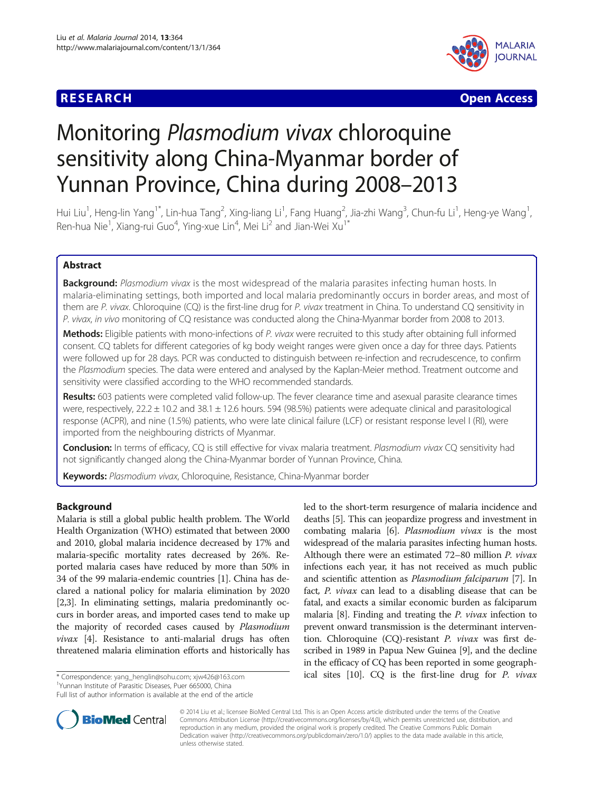## **RESEARCH CHEAR CHEAR CHEAR CHEAR CHEAR CHEAR CHEAR CHEAR CHEAR CHEAR CHEAR CHEAR CHEAR CHEAR CHEAR CHEAR CHEAR**



# Monitoring Plasmodium vivax chloroquine sensitivity along China-Myanmar border of Yunnan Province, China during 2008–2013

Hui Liu<sup>1</sup>, Heng-lin Yang<sup>1\*</sup>, Lin-hua Tang<sup>2</sup>, Xing-liang Li<sup>1</sup>, Fang Huang<sup>2</sup>, Jia-zhi Wang<sup>3</sup>, Chun-fu Li<sup>1</sup>, Heng-ye Wang<sup>1</sup> , Ren-hua Nie<sup>1</sup>, Xiang-rui Guo<sup>4</sup>, Ying-xue Lin<sup>4</sup>, Mei Li<sup>2</sup> and Jian-Wei Xu<sup>1\*</sup>

## Abstract

Background: Plasmodium vivax is the most widespread of the malaria parasites infecting human hosts. In malaria-eliminating settings, both imported and local malaria predominantly occurs in border areas, and most of them are P. vivax. Chloroquine (CQ) is the first-line drug for P. vivax treatment in China. To understand CQ sensitivity in P. vivax, in vivo monitoring of CQ resistance was conducted along the China-Myanmar border from 2008 to 2013.

Methods: Eligible patients with mono-infections of P. vivax were recruited to this study after obtaining full informed consent. CQ tablets for different categories of kg body weight ranges were given once a day for three days. Patients were followed up for 28 days. PCR was conducted to distinguish between re-infection and recrudescence, to confirm the Plasmodium species. The data were entered and analysed by the Kaplan-Meier method. Treatment outcome and sensitivity were classified according to the WHO recommended standards.

Results: 603 patients were completed valid follow-up. The fever clearance time and asexual parasite clearance times were, respectively,  $22.2 \pm 10.2$  and  $38.1 \pm 12.6$  hours. 594 (98.5%) patients were adequate clinical and parasitological response (ACPR), and nine (1.5%) patients, who were late clinical failure (LCF) or resistant response level I (RI), were imported from the neighbouring districts of Myanmar.

Conclusion: In terms of efficacy, CQ is still effective for vivax malaria treatment. Plasmodium vivax CQ sensitivity had not significantly changed along the China-Myanmar border of Yunnan Province, China.

Keywords: Plasmodium vivax, Chloroquine, Resistance, China-Myanmar border

## Background

Malaria is still a global public health problem. The World Health Organization (WHO) estimated that between 2000 and 2010, global malaria incidence decreased by 17% and malaria-specific mortality rates decreased by 26%. Reported malaria cases have reduced by more than 50% in 34 of the 99 malaria-endemic countries [\[1](#page-5-0)]. China has declared a national policy for malaria elimination by 2020 [[2,3](#page-5-0)]. In eliminating settings, malaria predominantly occurs in border areas, and imported cases tend to make up the majority of recorded cases caused by Plasmodium vivax [\[4](#page-5-0)]. Resistance to anti-malarial drugs has often threatened malaria elimination efforts and historically has

<sup>1</sup>Yunnan Institute of Parasitic Diseases, Puer 665000, China

Full list of author information is available at the end of the article



led to the short-term resurgence of malaria incidence and



© 2014 Liu et al.; licensee BioMed Central Ltd. This is an Open Access article distributed under the terms of the Creative Commons Attribution License [\(http://creativecommons.org/licenses/by/4.0\)](http://creativecommons.org/licenses/by/4.0), which permits unrestricted use, distribution, and reproduction in any medium, provided the original work is properly credited. The Creative Commons Public Domain Dedication waiver [\(http://creativecommons.org/publicdomain/zero/1.0/](http://creativecommons.org/publicdomain/zero/1.0/)) applies to the data made available in this article, unless otherwise stated.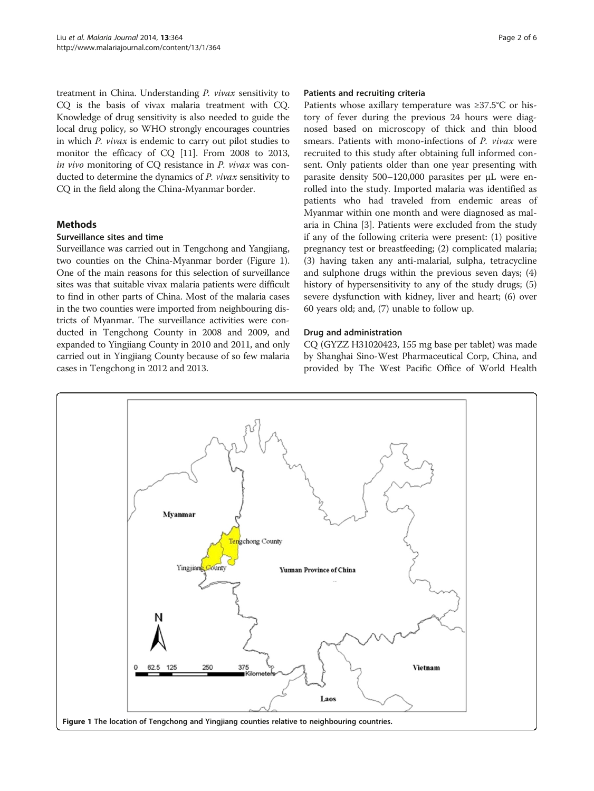treatment in China. Understanding P. vivax sensitivity to CQ is the basis of vivax malaria treatment with CQ. Knowledge of drug sensitivity is also needed to guide the local drug policy, so WHO strongly encourages countries in which P. vivax is endemic to carry out pilot studies to monitor the efficacy of CQ [[11](#page-5-0)]. From 2008 to 2013, in vivo monitoring of CQ resistance in P. vivax was conducted to determine the dynamics of P. vivax sensitivity to CQ in the field along the China-Myanmar border.

## **Methods**

#### Surveillance sites and time

Surveillance was carried out in Tengchong and Yangjiang, two counties on the China-Myanmar border (Figure 1). One of the main reasons for this selection of surveillance sites was that suitable vivax malaria patients were difficult to find in other parts of China. Most of the malaria cases in the two counties were imported from neighbouring districts of Myanmar. The surveillance activities were conducted in Tengchong County in 2008 and 2009, and expanded to Yingjiang County in 2010 and 2011, and only carried out in Yingjiang County because of so few malaria cases in Tengchong in 2012 and 2013.

#### Patients and recruiting criteria

Patients whose axillary temperature was ≥37.5°C or history of fever during the previous 24 hours were diagnosed based on microscopy of thick and thin blood smears. Patients with mono-infections of P. vivax were recruited to this study after obtaining full informed consent. Only patients older than one year presenting with parasite density 500–120,000 parasites per μL were enrolled into the study. Imported malaria was identified as patients who had traveled from endemic areas of Myanmar within one month and were diagnosed as malaria in China [\[3](#page-5-0)]. Patients were excluded from the study if any of the following criteria were present: (1) positive pregnancy test or breastfeeding; (2) complicated malaria; (3) having taken any anti-malarial, sulpha, tetracycline and sulphone drugs within the previous seven days; (4) history of hypersensitivity to any of the study drugs; (5) severe dysfunction with kidney, liver and heart; (6) over 60 years old; and, (7) unable to follow up.

#### Drug and administration

CQ (GYZZ H31020423, 155 mg base per tablet) was made by Shanghai Sino-West Pharmaceutical Corp, China, and provided by The West Pacific Office of World Health

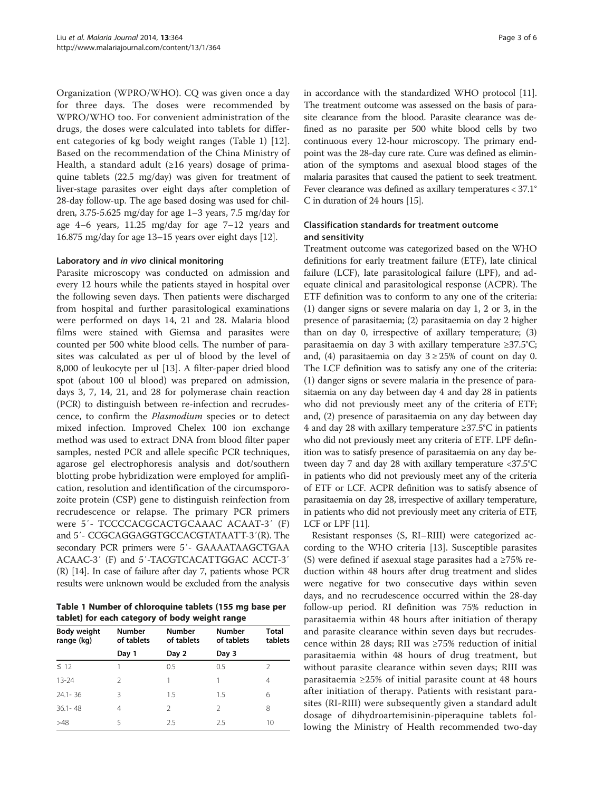Organization (WPRO/WHO). CQ was given once a day for three days. The doses were recommended by WPRO/WHO too. For convenient administration of the drugs, the doses were calculated into tablets for different categories of kg body weight ranges (Table 1) [[12](#page-5-0)]. Based on the recommendation of the China Ministry of Health, a standard adult ( $\geq 16$  years) dosage of primaquine tablets (22.5 mg/day) was given for treatment of liver-stage parasites over eight days after completion of 28-day follow-up. The age based dosing was used for children, 3.75-5.625 mg/day for age 1–3 years, 7.5 mg/day for age 4–6 years, 11.25 mg/day for age 7–12 years and 16.875 mg/day for age 13–15 years over eight days [[12](#page-5-0)].

#### Laboratory and in vivo clinical monitoring

Parasite microscopy was conducted on admission and every 12 hours while the patients stayed in hospital over the following seven days. Then patients were discharged from hospital and further parasitological examinations were performed on days 14, 21 and 28. Malaria blood films were stained with Giemsa and parasites were counted per 500 white blood cells. The number of parasites was calculated as per ul of blood by the level of 8,000 of leukocyte per ul [[13\]](#page-5-0). A filter-paper dried blood spot (about 100 ul blood) was prepared on admission, days 3, 7, 14, 21, and 28 for polymerase chain reaction (PCR) to distinguish between re-infection and recrudescence, to confirm the Plasmodium species or to detect mixed infection. Improved Chelex 100 ion exchange method was used to extract DNA from blood filter paper samples, nested PCR and allele specific PCR techniques, agarose gel electrophoresis analysis and dot/southern blotting probe hybridization were employed for amplification, resolution and identification of the circumsporozoite protein (CSP) gene to distinguish reinfection from recrudescence or relapse. The primary PCR primers were 5′- TCCCCACGCACTGCAAAC ACAAT-3′ (F) and 5′- CCGCAGGAGGTGCCACGTATAATT-3′(R). The secondary PCR primers were 5′- GAAAATAAGCTGAA ACAAC-3′ (F) and 5′-TACGTCACATTGGAC ACCT-3′ (R) [\[14](#page-5-0)]. In case of failure after day 7, patients whose PCR results were unknown would be excluded from the analysis

Table 1 Number of chloroquine tablets (155 mg base per tablet) for each category of body weight range

| Body weight<br>range (kg) | <b>Number</b><br>of tablets | <b>Number</b><br>of tablets | <b>Number</b><br>of tablets | <b>Total</b><br>tablets |
|---------------------------|-----------------------------|-----------------------------|-----------------------------|-------------------------|
|                           | Day 1                       | Day 2                       | Day 3                       |                         |
| $\leq$ 12                 |                             | 0.5                         | 0.5                         | 2                       |
| $13 - 24$                 | 2                           |                             |                             | 4                       |
| $24.1 - 36$               | 3                           | 1.5                         | 1.5                         | 6                       |
| $36.1 - 48$               | 4                           | $\mathcal{L}$               | $\mathcal{L}$               | 8                       |
| >48                       | 5                           | 2.5                         | 2.5                         | 10                      |

in accordance with the standardized WHO protocol [\[11](#page-5-0)]. The treatment outcome was assessed on the basis of parasite clearance from the blood. Parasite clearance was defined as no parasite per 500 white blood cells by two continuous every 12-hour microscopy. The primary endpoint was the 28-day cure rate. Cure was defined as elimination of the symptoms and asexual blood stages of the malaria parasites that caused the patient to seek treatment. Fever clearance was defined as axillary temperatures < 37.1° C in duration of 24 hours [\[15\]](#page-5-0).

## Classification standards for treatment outcome and sensitivity

Treatment outcome was categorized based on the WHO definitions for early treatment failure (ETF), late clinical failure (LCF), late parasitological failure (LPF), and adequate clinical and parasitological response (ACPR). The ETF definition was to conform to any one of the criteria: (1) danger signs or severe malaria on day 1, 2 or 3, in the presence of parasitaemia; (2) parasitaemia on day 2 higher than on day 0, irrespective of axillary temperature; (3) parasitaemia on day 3 with axillary temperature ≥37.5°C; and, (4) parasitaemia on day  $3 \ge 25\%$  of count on day 0. The LCF definition was to satisfy any one of the criteria: (1) danger signs or severe malaria in the presence of parasitaemia on any day between day 4 and day 28 in patients who did not previously meet any of the criteria of ETF; and, (2) presence of parasitaemia on any day between day 4 and day 28 with axillary temperature ≥37.5°C in patients who did not previously meet any criteria of ETF. LPF definition was to satisfy presence of parasitaemia on any day between day 7 and day 28 with axillary temperature <37.5°C in patients who did not previously meet any of the criteria of ETF or LCF. ACPR definition was to satisfy absence of parasitaemia on day 28, irrespective of axillary temperature, in patients who did not previously meet any criteria of ETF, LCF or LPF [\[11\]](#page-5-0).

Resistant responses (S, RI–RIII) were categorized according to the WHO criteria [\[13\]](#page-5-0). Susceptible parasites (S) were defined if asexual stage parasites had a  $\geq 75\%$  reduction within 48 hours after drug treatment and slides were negative for two consecutive days within seven days, and no recrudescence occurred within the 28-day follow-up period. RI definition was 75% reduction in parasitaemia within 48 hours after initiation of therapy and parasite clearance within seven days but recrudescence within 28 days; RII was ≥75% reduction of initial parasitaemia within 48 hours of drug treatment, but without parasite clearance within seven days; RIII was parasitaemia ≥25% of initial parasite count at 48 hours after initiation of therapy. Patients with resistant parasites (RI-RIII) were subsequently given a standard adult dosage of dihydroartemisinin-piperaquine tablets following the Ministry of Health recommended two-day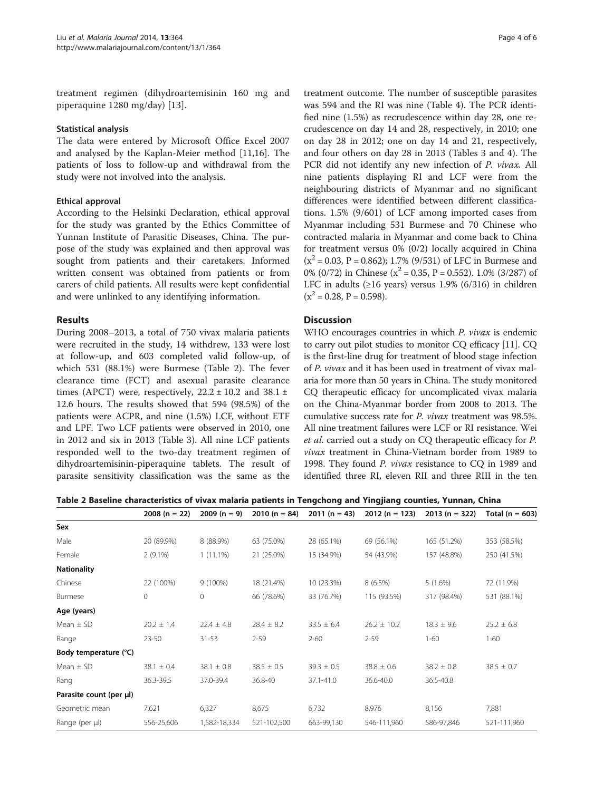treatment regimen (dihydroartemisinin 160 mg and piperaquine 1280 mg/day) [[13\]](#page-5-0).

#### Statistical analysis

The data were entered by Microsoft Office Excel 2007 and analysed by the Kaplan-Meier method [\[11,16](#page-5-0)]. The patients of loss to follow-up and withdrawal from the study were not involved into the analysis.

## Ethical approval

According to the Helsinki Declaration, ethical approval for the study was granted by the Ethics Committee of Yunnan Institute of Parasitic Diseases, China. The purpose of the study was explained and then approval was sought from patients and their caretakers. Informed written consent was obtained from patients or from carers of child patients. All results were kept confidential and were unlinked to any identifying information.

## Results

During 2008–2013, a total of 750 vivax malaria patients were recruited in the study, 14 withdrew, 133 were lost at follow-up, and 603 completed valid follow-up, of which 531 (88.1%) were Burmese (Table 2). The fever clearance time (FCT) and asexual parasite clearance times (APCT) were, respectively,  $22.2 \pm 10.2$  and  $38.1 \pm$ 12.6 hours. The results showed that 594 (98.5%) of the patients were ACPR, and nine (1.5%) LCF, without ETF and LPF. Two LCF patients were observed in 2010, one in 2012 and six in 2013 (Table [3](#page-4-0)). All nine LCF patients responded well to the two-day treatment regimen of dihydroartemisinin-piperaquine tablets. The result of parasite sensitivity classification was the same as the

treatment outcome. The number of susceptible parasites was 594 and the RI was nine (Table [4\)](#page-4-0). The PCR identified nine (1.5%) as recrudescence within day 28, one recrudescence on day 14 and 28, respectively, in 2010; one on day 28 in 2012; one on day 14 and 21, respectively, and four others on day 28 in 2013 (Tables [3](#page-4-0) and [4\)](#page-4-0). The PCR did not identify any new infection of P. vivax. All nine patients displaying RI and LCF were from the neighbouring districts of Myanmar and no significant differences were identified between different classifications. 1.5% (9/601) of LCF among imported cases from Myanmar including 531 Burmese and 70 Chinese who contracted malaria in Myanmar and come back to China for treatment versus 0% (0/2) locally acquired in China  $(x^2 = 0.03, P = 0.862)$ ; 1.7% (9/531) of LFC in Burmese and 0% (0/72) in Chinese ( $x^2$  = 0.35, P = 0.552). 1.0% (3/287) of LFC in adults ( $\geq$ 16 years) versus 1.9% (6/316) in children  $(x^2 = 0.28, P = 0.598).$ 

## **Discussion**

WHO encourages countries in which P. vivax is endemic to carry out pilot studies to monitor CQ efficacy [[11](#page-5-0)]. CQ is the first-line drug for treatment of blood stage infection of P. vivax and it has been used in treatment of vivax malaria for more than 50 years in China. The study monitored CQ therapeutic efficacy for uncomplicated vivax malaria on the China-Myanmar border from 2008 to 2013. The cumulative success rate for P. vivax treatment was 98.5%. All nine treatment failures were LCF or RI resistance. Wei et al. carried out a study on CQ therapeutic efficacy for P. vivax treatment in China-Vietnam border from 1989 to 1998. They found P. vivax resistance to CQ in 1989 and identified three RI, eleven RII and three RIII in the ten

Table 2 Baseline characteristics of vivax malaria patients in Tengchong and Yingjiang counties, Yunnan, China

|                         | $2008(n = 22)$ | $2009 (n = 9)$ | $2010(n = 84)$ | $2011(n = 43)$ | $2012 (n = 123)$ | $2013(n = 322)$ | Total ( $n = 603$ ) |
|-------------------------|----------------|----------------|----------------|----------------|------------------|-----------------|---------------------|
| Sex                     |                |                |                |                |                  |                 |                     |
| Male                    | 20 (89.9%)     | 8 (88.9%)      | 63 (75.0%)     | 28 (65.1%)     | 69 (56.1%)       | 165 (51.2%)     | 353 (58.5%)         |
| Female                  | $2(9.1\%)$     | $1(11.1\%)$    | 21 (25.0%)     | 15 (34.9%)     | 54 (43.9%)       | 157 (48.8%)     | 250 (41.5%)         |
| <b>Nationality</b>      |                |                |                |                |                  |                 |                     |
| Chinese                 | 22 (100%)      | $9(100\%)$     | 18 (21.4%)     | 10 (23.3%)     | 8(6.5%)          | 5(1.6%)         | 72 (11.9%)          |
| Burmese                 | 0              | $\mathbf{0}$   | 66 (78.6%)     | 33 (76.7%)     | 115 (93.5%)      | 317 (98.4%)     | 531 (88.1%)         |
| Age (years)             |                |                |                |                |                  |                 |                     |
| Mean $\pm$ SD           | $20.2 \pm 1.4$ | $22.4 \pm 4.8$ | $28.4 \pm 8.2$ | $33.5 \pm 6.4$ | $26.2 \pm 10.2$  | $18.3 \pm 9.6$  | $25.2 \pm 6.8$      |
| Range                   | $23 - 50$      | $31 - 53$      | $2 - 59$       | $2 - 60$       | $2 - 59$         | $1 - 60$        | $1 - 60$            |
| Body temperature (°C)   |                |                |                |                |                  |                 |                     |
| Mean $\pm$ SD           | $38.1 \pm 0.4$ | $38.1 \pm 0.8$ | $38.5 \pm 0.5$ | $39.3 \pm 0.5$ | $38.8 \pm 0.6$   | $38.2 \pm 0.8$  | $38.5 \pm 0.7$      |
| Rang                    | 36.3-39.5      | 37.0-39.4      | 36.8-40        | 37.1-41.0      | 36.6-40.0        | 36.5-40.8       |                     |
| Parasite count (per µl) |                |                |                |                |                  |                 |                     |
| Geometric mean          | 7,621          | 6,327          | 8,675          | 6,732          | 8,976            | 8,156           | 7,881               |
| Range (per µl)          | 556-25,606     | 1,582-18,334   | 521-102,500    | 663-99,130     | 546-111,960      | 586-97,846      | 521-111,960         |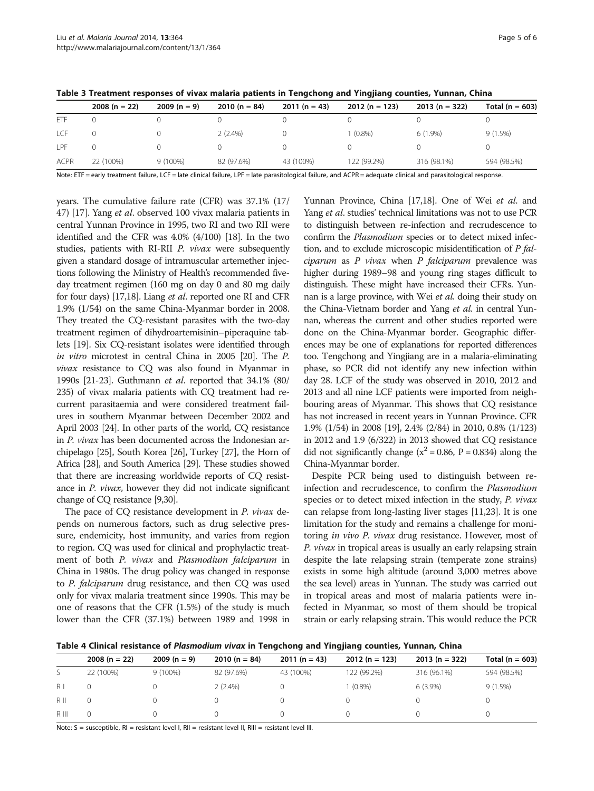|             | $2008(n = 22)$ | $2009(n = 9)$ | $2010(n = 84)$ | $2011(n = 43)$ | $2012 (n = 123)$ | $2013(n = 322)$ | Total ( $n = 603$ ) |
|-------------|----------------|---------------|----------------|----------------|------------------|-----------------|---------------------|
| ETF         |                |               |                |                |                  |                 |                     |
| LCF         |                |               | $2(2.4\%)$     |                | $(0.8\%)$        | $6(1.9\%)$      | 9(1.5%)             |
| I PF        |                |               |                |                |                  |                 |                     |
| <b>ACPR</b> | 22 (100%)      | $9(100\%)$    | 82 (97.6%)     | 43 (100%)      | 122 (99.2%)      | 316 (98.1%)     | 594 (98.5%)         |
|             |                |               |                |                |                  |                 |                     |

<span id="page-4-0"></span>Table 3 Treatment responses of vivax malaria patients in Tengchong and Yingjiang counties, Yunnan, China

Note: ETF = early treatment failure, LCF = late clinical failure, LPF = late parasitological failure, and ACPR = adequate clinical and parasitological response.

years. The cumulative failure rate (CFR) was 37.1% (17/ 47) [\[17\]](#page-5-0). Yang et al. observed 100 vivax malaria patients in central Yunnan Province in 1995, two RI and two RII were identified and the CFR was 4.0% (4/100) [[18](#page-5-0)]. In the two studies, patients with RI-RII P. vivax were subsequently given a standard dosage of intramuscular artemether injections following the Ministry of Health's recommended fiveday treatment regimen (160 mg on day 0 and 80 mg daily for four days) [\[17,18](#page-5-0)]. Liang et al. reported one RI and CFR 1.9% (1/54) on the same China-Myanmar border in 2008. They treated the CQ-resistant parasites with the two-day treatment regimen of dihydroartemisinin–piperaquine tablets [[19](#page-5-0)]. Six CQ-resistant isolates were identified through in vitro microtest in central China in 2005 [[20](#page-5-0)]. The P. vivax resistance to CQ was also found in Myanmar in 1990s [\[21-23\]](#page-5-0). Guthmann et al. reported that 34.1% (80/ 235) of vivax malaria patients with CQ treatment had recurrent parasitaemia and were considered treatment failures in southern Myanmar between December 2002 and April 2003 [\[24\]](#page-5-0). In other parts of the world, CQ resistance in P. vivax has been documented across the Indonesian archipelago [\[25](#page-5-0)], South Korea [\[26\]](#page-5-0), Turkey [\[27](#page-5-0)], the Horn of Africa [\[28\]](#page-5-0), and South America [[29](#page-5-0)]. These studies showed that there are increasing worldwide reports of CQ resistance in P. vivax, however they did not indicate significant change of CQ resistance [\[9,30](#page-5-0)].

The pace of CQ resistance development in P. vivax depends on numerous factors, such as drug selective pressure, endemicity, host immunity, and varies from region to region. CQ was used for clinical and prophylactic treatment of both P. vivax and Plasmodium falciparum in China in 1980s. The drug policy was changed in response to P. falciparum drug resistance, and then CQ was used only for vivax malaria treatment since 1990s. This may be one of reasons that the CFR (1.5%) of the study is much lower than the CFR (37.1%) between 1989 and 1998 in

Yunnan Province, China [\[17,18](#page-5-0)]. One of Wei et al. and Yang et al. studies' technical limitations was not to use PCR to distinguish between re-infection and recrudescence to confirm the Plasmodium species or to detect mixed infection, and to exclude microscopic misidentification of P fal $ciparum$  as  $P$  vivax when  $P$  falciparum prevalence was higher during 1989–98 and young ring stages difficult to distinguish. These might have increased their CFRs. Yunnan is a large province, with Wei et al. doing their study on the China-Vietnam border and Yang et al. in central Yunnan, whereas the current and other studies reported were done on the China-Myanmar border. Geographic differences may be one of explanations for reported differences too. Tengchong and Yingjiang are in a malaria-eliminating phase, so PCR did not identify any new infection within day 28. LCF of the study was observed in 2010, 2012 and 2013 and all nine LCF patients were imported from neighbouring areas of Myanmar. This shows that CQ resistance has not increased in recent years in Yunnan Province. CFR 1.9% (1/54) in 2008 [[19\]](#page-5-0), 2.4% (2/84) in 2010, 0.8% (1/123) in 2012 and 1.9 (6/322) in 2013 showed that CQ resistance did not significantly change ( $x^2$  = 0.86, P = 0.834) along the China-Myanmar border.

Despite PCR being used to distinguish between reinfection and recrudescence, to confirm the Plasmodium species or to detect mixed infection in the study, P. vivax can relapse from long-lasting liver stages [[11,23\]](#page-5-0). It is one limitation for the study and remains a challenge for monitoring in vivo P. vivax drug resistance. However, most of P. vivax in tropical areas is usually an early relapsing strain despite the late relapsing strain (temperate zone strains) exists in some high altitude (around 3,000 metres above the sea level) areas in Yunnan. The study was carried out in tropical areas and most of malaria patients were infected in Myanmar, so most of them should be tropical strain or early relapsing strain. This would reduce the PCR

Table 4 Clinical resistance of Plasmodium vivax in Tengchong and Yingjiang counties, Yunnan, China

|                | $2008(n = 22)$ | $2009(n = 9)$ | $2010(n = 84)$ | $2011(n = 43)$ | $2012(n = 123)$ | $2013(n = 322)$ | Total ( $n = 603$ ) |
|----------------|----------------|---------------|----------------|----------------|-----------------|-----------------|---------------------|
|                | 22 (100%)      | $9(100\%)$    | 82 (97.6%)     | 43 (100%)      | 122 (99.2%)     | 316 (96.1%)     | 594 (98.5%)         |
| R <sub>1</sub> |                |               | $2(2.4\%)$     |                | $(0.8\%)$       | $6(3.9\%)$      | 9(1.5%)             |
| $R$ II         |                |               |                |                |                 |                 |                     |
| R III          |                |               |                |                |                 |                 |                     |

Note: S = susceptible, RI = resistant level I, RII = resistant level II, RIII = resistant level III.